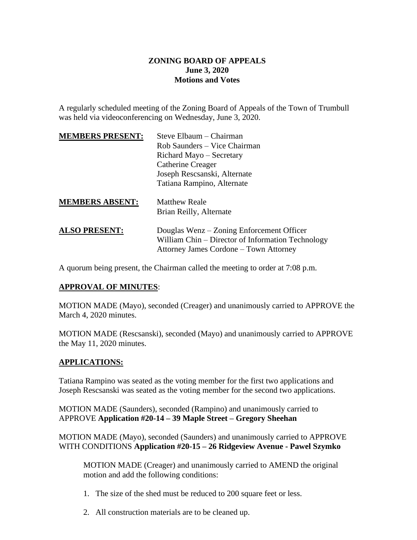## **ZONING BOARD OF APPEALS June 3, 2020 Motions and Votes**

A regularly scheduled meeting of the Zoning Board of Appeals of the Town of Trumbull was held via videoconferencing on Wednesday, June 3, 2020.

| <b>MEMBERS PRESENT:</b> | Steve Elbaum – Chairman                                                                                                                  |
|-------------------------|------------------------------------------------------------------------------------------------------------------------------------------|
|                         | Rob Saunders – Vice Chairman                                                                                                             |
|                         | Richard Mayo – Secretary                                                                                                                 |
|                         | Catherine Creager                                                                                                                        |
|                         | Joseph Rescsanski, Alternate                                                                                                             |
|                         | Tatiana Rampino, Alternate                                                                                                               |
| <b>MEMBERS ABSENT:</b>  | <b>Matthew Reale</b>                                                                                                                     |
|                         | Brian Reilly, Alternate                                                                                                                  |
| <b>ALSO PRESENT:</b>    | Douglas Wenz – Zoning Enforcement Officer<br>William Chin – Director of Information Technology<br>Attorney James Cordone – Town Attorney |
|                         |                                                                                                                                          |

A quorum being present, the Chairman called the meeting to order at 7:08 p.m.

## **APPROVAL OF MINUTES**:

MOTION MADE (Mayo), seconded (Creager) and unanimously carried to APPROVE the March 4, 2020 minutes.

MOTION MADE (Rescsanski), seconded (Mayo) and unanimously carried to APPROVE the May 11, 2020 minutes.

## **APPLICATIONS:**

Tatiana Rampino was seated as the voting member for the first two applications and Joseph Rescsanski was seated as the voting member for the second two applications.

MOTION MADE (Saunders), seconded (Rampino) and unanimously carried to APPROVE **Application #20-14 – 39 Maple Street – Gregory Sheehan**

MOTION MADE (Mayo), seconded (Saunders) and unanimously carried to APPROVE WITH CONDITIONS **Application #20-15 – 26 Ridgeview Avenue - Pawel Szymko**

MOTION MADE (Creager) and unanimously carried to AMEND the original motion and add the following conditions:

- 1. The size of the shed must be reduced to 200 square feet or less.
- 2. All construction materials are to be cleaned up.